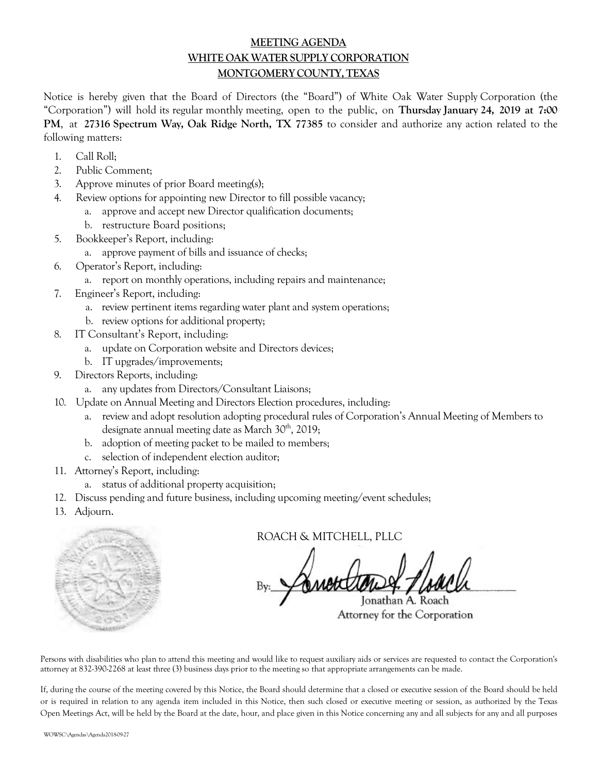## **MEETING AGENDA WHITE OAK WATER SUPPLY CORPORATION MONTGOMERYCOUNTY,TEXAS**

Notice is hereby given that the Board of Directors (the "Board") of White Oak Water Supply Corporation (the "Corporation") will hold its regular monthly meeting, open to the public, on **Thursday January 24, 2019 at 7:00 PM**, at **27316 Spectrum Way, Oak Ridge North, TX 77385** to consider and authorize any action related to the following matters:

- 1. Call Roll;
- 2. Public Comment;
- 3. Approve minutes of prior Board meeting(s);
- 4. Review options for appointing new Director to fill possible vacancy;
	- a. approve and accept new Director qualification documents;
	- b. restructure Board positions;
- 5. Bookkeeper's Report, including:
	- a. approve payment of bills and issuance of checks;
- 6. Operator's Report, including:
	- a. report on monthly operations, including repairs and maintenance;
- 7. Engineer's Report, including:
	- a. review pertinent items regarding water plant and system operations;
	- b. review options for additional property;
- 8. IT Consultant's Report, including:
	- a. update on Corporation website and Directors devices;
	- b. IT upgrades/improvements;
- 9. Directors Reports, including:
	- a. any updates from Directors/Consultant Liaisons;
- 10. Update on Annual Meeting and Directors Election procedures, including:
	- a. review and adopt resolution adopting procedural rules of Corporation's Annual Meeting of Members to designate annual meeting date as March 30<sup>th</sup>, 2019;
	- b. adoption of meeting packet to be mailed to members;
	- c. selection of independent election auditor;
- 11. Attorney's Report, including:
	- a. status of additional property acquisition;
- 12. Discuss pending and future business, including upcoming meeting/event schedules;
- 13. Adjourn.

ROACH & MITCHELL, PLLC

Jonathan A. Roach Attorney for the Corporation

Persons with disabilities who plan to attend this meeting and would like to request auxiliary aids or services are requested to contact the Corporation's attorney at 832-390-2268 at least three (3) business days prior to the meeting so that appropriate arrangements can be made.

If, during the course of the meeting covered by this Notice, the Board should determine that a closed or executive session of the Board should be held or is required in relation to any agenda item included in this Notice, then such closed or executive meeting or session, as authorized by the Texas Open Meetings Act, will be held by the Board at the date, hour, and place given in this Notice concerning any and all subjects for any and all purposes